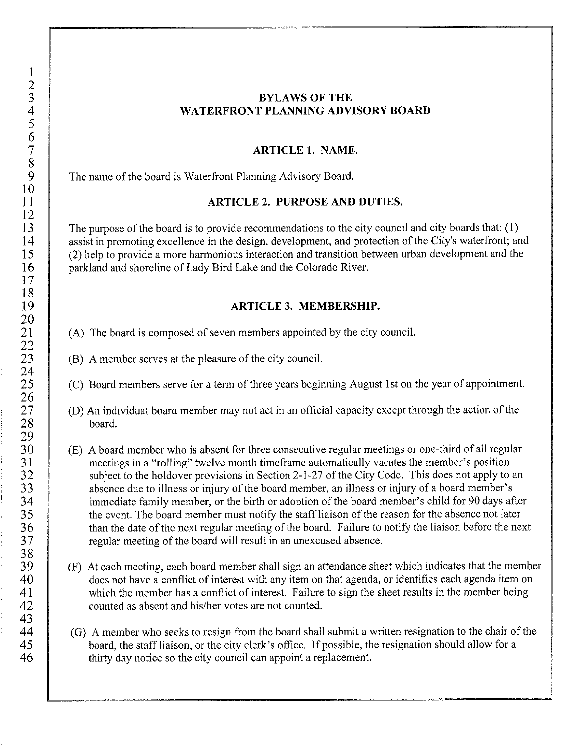## **BYLAWS OF THE WATERFRONT PLANNING ADVISORY BOARD**

## **ARTICLE 1. NAME.**

The name of the board is Waterfront Planning Advisory Board.

#### **ARTICLE 2. PURPOSE AND DUTIES.**

The purpose of the board is to provide recommendations to the city council and city boards that: (I) assist in promoting excellence in the design, development, and protection of the City's waterfront; and (2) help to provide a more harmonious interaction and transition between urban development and the parkland and shoreline of Lady Bird Lake and the Colorado River.

# **ARTICLE 3. MEMBERSHIP.**

- (A) The board is composed of seven members appointed by the city council.
- (B) A member serves at the pleasure of the city council.
- (C) Board members serve for a term of three years beginning August 1st on the year of appointment.
- (D) An individual board member may not act in an official capacity except through the action of the board.
- (E) A board member who is absent for three consecutive regular meetings or one-third of all regular meetings in a "rolling" twelve month timeframe automatically vacates the member's position subject to the holdover provisions in Section 2-1-27 of the City Code. This does not apply to an absence due to illness or injury of the board member, an illness or injury of a board member's immediate family member, or the birth or adoption of the board member's child for 90 days after the event. The board member must notify the staff liaison of the reason for the absence not later than the date of the next regular meeting of the board. Failure to notify the liaison before the next regular meeting of the board will result in an unexcused absence.
- (F) At each meeting, each board member shall sign an attendance sheet which indicates that the member does not have a conflict of interest with any item on that agenda, or identifies each agenda item on which the member has a conflict of interest. Failure to sign the sheet results in the member being counted as absent and his/her votes are not counted.
- (G) A member who seeks to resign from the board shall submit a written resignation to the chair of the board, the staff liaison, or the city clerk's office. If possible, the resignation should allow for a thirty day notice so the city council can appoint a replacement.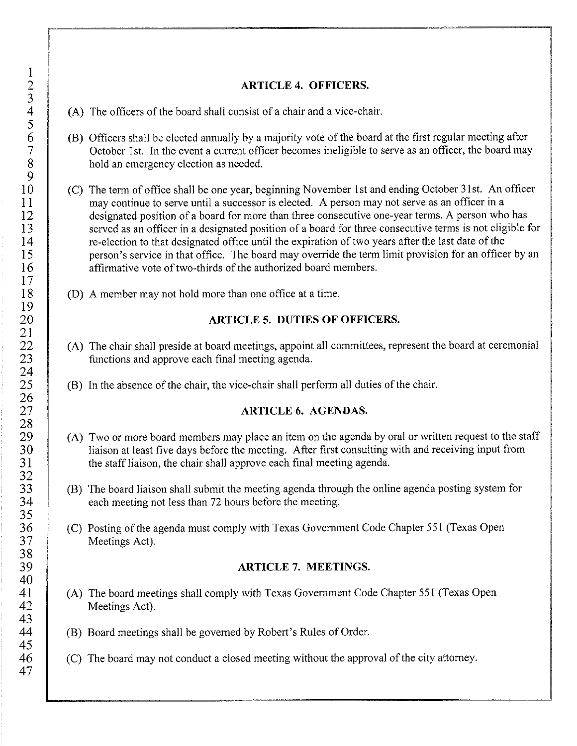### **ARTICLE 4. OFFICERS.**

- $(A)$  The officers of the board shall consist of a chair and a vice-chair.
- (B) Officers shall be elected annually by a majority vote of the board at the first regular meeting after October 1st. In the event a current officer becomes ineligible to serve as an officer, the board may hold an emergency election as needed.
- (C) The term of office shall be one year, beginning November !st and ending October 31st. An officer may continue to serve until a successor is elected. A person may not serve as an officer in a designated position of a board for more than three consecutive one-year terms. A person who has served as an officer in a designated position of a board for three consecutive terms is not eligible for re-election to that designated office until the expiration of two years after the last date of the person's service in that office. The board may override the term limit provision for an officer by an affirmative vote of two-thirds of the authorized board members.
- (D) A member may not hold more than one office at a time.

#### **ARTICLE 5. DUTIES OF OFFICERS.**

- (A) The chair shall preside at board meetings, appoint all committees, represent the board at ceremonial functions and approve each final meeting agenda.
- (B) In the absence of the chair, the vice-chair shall perform all duties of the chair.

#### **ARTICLE 6. AGENDAS.**

- (A) Two or more board members may place an item on the agenda by oral or written request to the staff liaison at least five days before the meeting. After first consulting with and receiving input from the staff liaison, the chair shall approve each final meeting agenda.
- (B) The board liaison shall submit the meeting agenda through the online agenda posting system for each meeting not less than 72 hours before the meeting.
- (C) Posting of the agenda must comply with Texas Government Code Chapter 551 (Texas Open Meetings Act).

## **ARTICLE 7. MEETINGS.**

- (A) The board meetings shall comply with Texas Government Code Chapter 551 (Texas Open Meetings Act).
- (B) Board meetings shall be governed by Robert's Rules of Order.
- (C) The board may not conduct a closed meeting without the approval of the city attorney.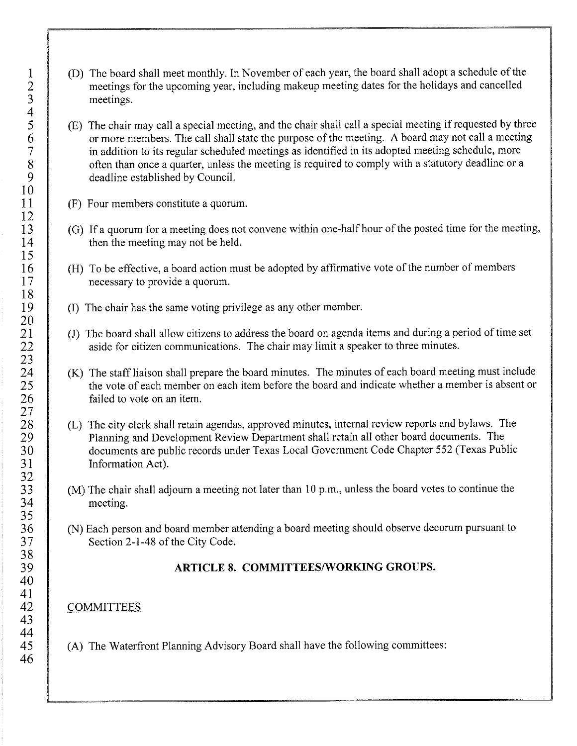- (D) The board shall meet monthly. In November of each year, the board shall adopt a schedule of the meetings for the upcoming year, including makeup meeting dates for the holidays and cancelled meetings.
- (E) The chair may call a special meeting, and the chair shall call a special meeting if requested by three or more members. The call shall state the purpose of the meeting. A board may not call a meeting in addition to its regular scheduled meetings as identified in its adopted meeting schedule, more often than once a quarter, unless the meeting is required to comply with a statutory deadline or a deadline established by Council.
- (F) Four members constitute a quorum.
- (G) If a quorum for a meeting does not convene within one-half hour of the posted time for the meeting, then the meeting may not be held.
- (H) To be effective, a board action must be adopted by affirmative vote of the number of members necessary to provide a quorum.
- (I) The chair has the same voting privilege as any other member.
- (J) The board shall allow citizens to address the board on agenda items and during a period of time set aside for citizen communications. The chair may limit a speaker to three minutes.
- (K) The staff liaison shall prepare the board minutes. The minutes of each board meeting must include the vote of each member on each item before the board and indicate whether a member is absent or failed to vote on an item.
- (L) The city clerk shall retain agendas, approved minutes, internal review reports and bylaws. The Planning and Development Review Department shall retain all other board documents. The documents are public records under Texas Local Government Code Chapter 552 (Texas Public Information Act).
- (M) The chair shall adjourn a meeting not later than 10 p.m., unless the board votes to continue the meeting.
- (N) Each person and board member attending a board meeting should observe decorum pursuant to Section 2-1-48 of the City Code.

#### **ARTICLE 8. COMMITTEES/WORKING GROUPS.**

#### **COMMITTEES**

(A) The Waterfront Planning Advisory Board shall have the following committees: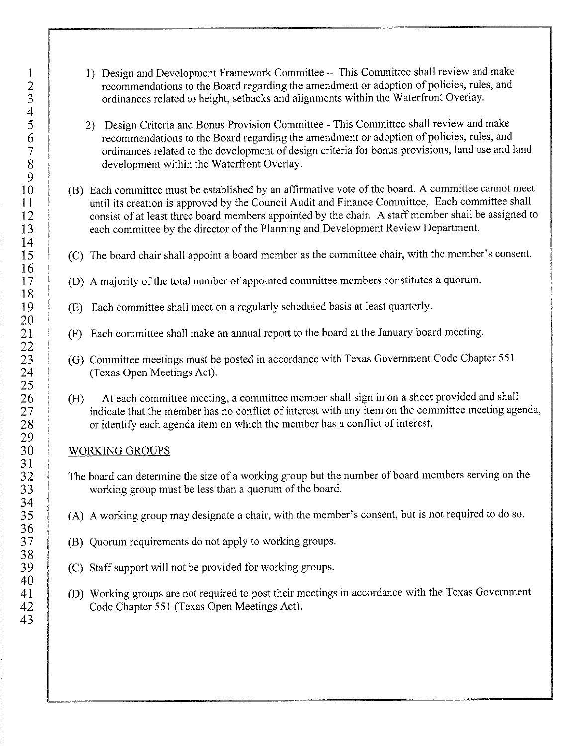- I) Design and Development Framework Committee This Committee shall review and make recommendations to the Board regarding the amendment or adoption of policies, rules, and ordinances related to height, setbacks and alignments within the Waterfront Overlay.
- 2) Design Criteria and Bonus Provision Committee This Committee shall review and make recommendations to the Board regarding the amendment or adoption of policies, rules, and ordinances related to the development of design criteria for bonus provisions, land use and land development within the Waterfront Overlay.
- (B) Each committee must be established by an affirmative vote of the board. A committee cannot meet until its creation is approved by the Council Audit and Finance Committee, Each committee shall consist of at least three board members appointed by the chair. A staff member shall be assigned to each committee by the director of the Planning and Development Review Department.
- (C) The board chair shall appoint a board member as the committee chair, with the member's consent.
- (D) A majority of the total number of appointed committee members constitutes a quorum.
- (E) Each committee shall meet on a regularly scheduled basis at least quarterly.
- (F) Each committee shall make an annual report to the board at the January board meeting.
- (G) Committee meetings must be posted in accordance with Texas Government Code Chapter 551 (Texas Open Meetings Act).
- (H) At each committee meeting, a committee member shall sign in on a sheet provided and shall indicate that the member has no conflict of interest with any item on the committee meeting agenda, or identify each agenda item on which the member has a conflict of interest.

# WORKING GROUPS

- The board can determine the size of a working group but the number of board members serving on the working group must be less than a quorum of the board.
- (A) A working group may designate a chair, with the member's consent, but is not required to do so.
- (B) Quorum requirements do not apply to working groups.
- (C) Staff support will not be provided for working groups.
- (D) Working groups are not required to post their meetings in accordance with the Texas Government Code Chapter 551 (Texas Open Meetings Act).